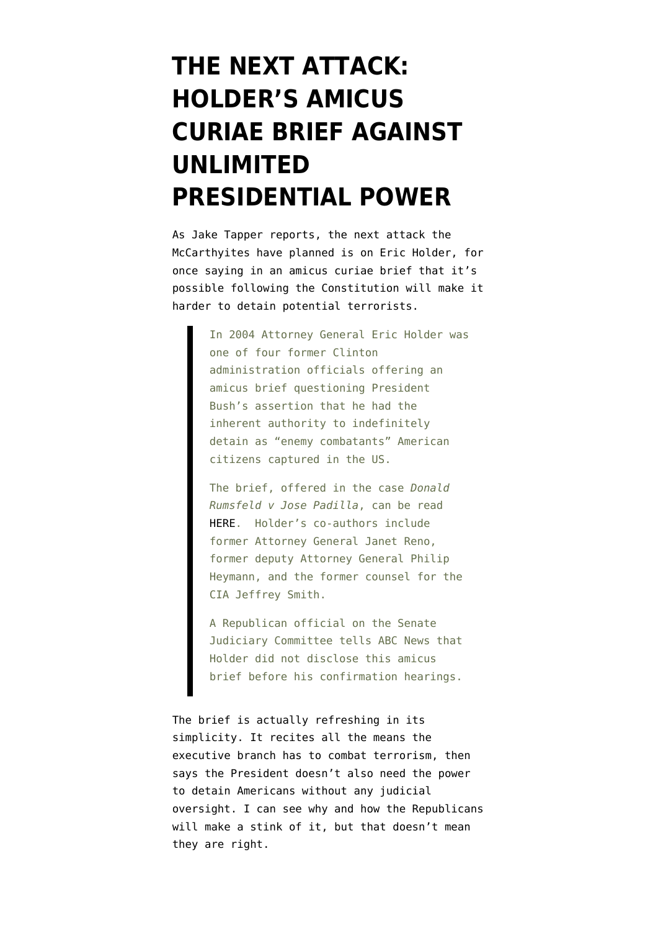## **[THE NEXT ATTACK:](https://www.emptywheel.net/2010/03/10/the-next-attack-holders-amicus-curiae-brief-against-unlimited-presidential-power/) [HOLDER'S AMICUS](https://www.emptywheel.net/2010/03/10/the-next-attack-holders-amicus-curiae-brief-against-unlimited-presidential-power/) [CURIAE BRIEF AGAINST](https://www.emptywheel.net/2010/03/10/the-next-attack-holders-amicus-curiae-brief-against-unlimited-presidential-power/) [UNLIMITED](https://www.emptywheel.net/2010/03/10/the-next-attack-holders-amicus-curiae-brief-against-unlimited-presidential-power/) [PRESIDENTIAL POWER](https://www.emptywheel.net/2010/03/10/the-next-attack-holders-amicus-curiae-brief-against-unlimited-presidential-power/)**

As Jake Tapper [reports](http://blogs.abcnews.com/politicalpunch/2010/03/former-bush-white-house-officials-question-attorney-general-holders-amicus-brief-rumsfeld-padilla.html), the next attack the McCarthyites have planned is on Eric Holder, for once saying in an amicus curiae brief that it's possible following the Constitution will make it harder to detain potential terrorists.

> In 2004 Attorney General Eric Holder was one of four former Clinton administration officials offering an amicus brief questioning President Bush's assertion that he had the inherent authority to indefinitely detain as "enemy combatants" American citizens captured in the US.

The brief, offered in the case *Donald Rumsfeld v Jose Padilla*, can be read [HERE](http://www.jenner.com/files/tbl_s69NewsDocumentOrder/FileUpload500/240/AmiciCuriae_janetReno.pdf). Holder's co-authors include former Attorney General Janet Reno, former deputy Attorney General Philip Heymann, and the former counsel for the CIA Jeffrey Smith.

A Republican official on the Senate Judiciary Committee tells ABC News that Holder did not disclose this amicus brief before his confirmation hearings.

The [brief](http://www.jenner.com/files/tbl_s69NewsDocumentOrder/FileUpload500/240/AmiciCuriae_janetReno.pdf) is actually refreshing in its simplicity. It recites all the means the executive branch has to combat terrorism, then says the President doesn't also need the power to detain Americans without any judicial oversight. I can see why and how the Republicans will make a stink of it, but that doesn't mean they are right.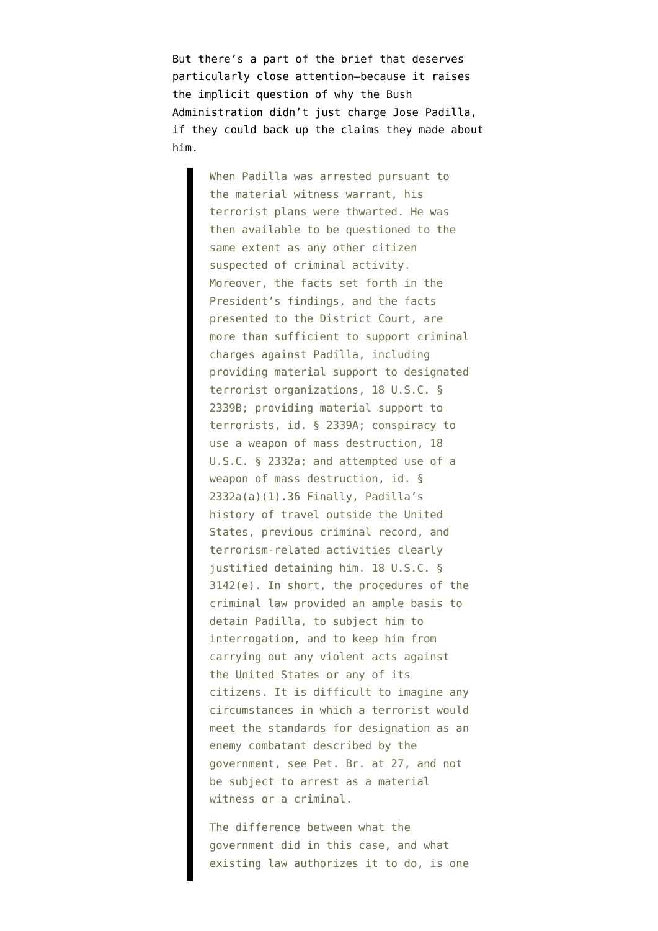But there's a part of the brief that deserves particularly close attention–because it raises the implicit question of why the Bush Administration didn't just charge Jose Padilla, if they could back up the claims they made about him.

> When Padilla was arrested pursuant to the material witness warrant, his terrorist plans were thwarted. He was then available to be questioned to the same extent as any other citizen suspected of criminal activity. Moreover, the facts set forth in the President's findings, and the facts presented to the District Court, are more than sufficient to support criminal charges against Padilla, including providing material support to designated terrorist organizations, 18 U.S.C. § 2339B; providing material support to terrorists, id. § 2339A; conspiracy to use a weapon of mass destruction, 18 U.S.C. § 2332a; and attempted use of a weapon of mass destruction, id. § 2332a(a)(1).36 Finally, Padilla's history of travel outside the United States, previous criminal record, and terrorism-related activities clearly justified detaining him. 18 U.S.C. § 3142(e). In short, the procedures of the criminal law provided an ample basis to detain Padilla, to subject him to interrogation, and to keep him from carrying out any violent acts against the United States or any of its citizens. It is difficult to imagine any circumstances in which a terrorist would meet the standards for designation as an enemy combatant described by the government, see Pet. Br. at 27, and not be subject to arrest as a material witness or a criminal.

The difference between what the government did in this case, and what existing law authorizes it to do, is one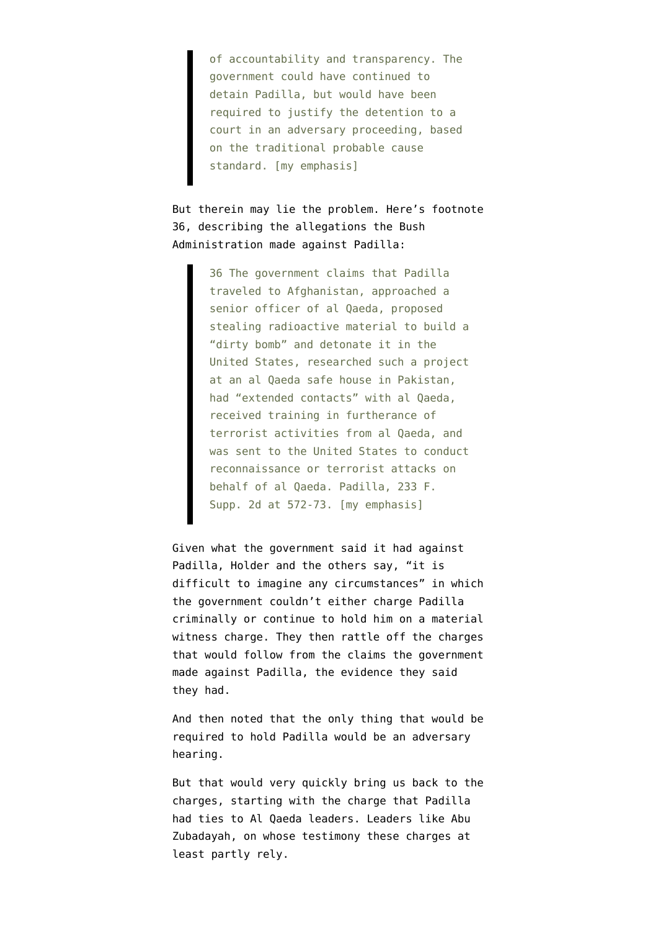of accountability and transparency. The government could have continued to detain Padilla, but would have been required to justify the detention to a court in an adversary proceeding, based on the traditional probable cause standard. [my emphasis]

But therein may lie the problem. Here's footnote 36, describing the allegations the Bush Administration made against Padilla:

> 36 The government claims that Padilla traveled to Afghanistan, approached a senior officer of al Qaeda, proposed stealing radioactive material to build a "dirty bomb" and detonate it in the United States, researched such a project at an al Qaeda safe house in Pakistan, had "extended contacts" with al Qaeda, received training in furtherance of terrorist activities from al Qaeda, and was sent to the United States to conduct reconnaissance or terrorist attacks on behalf of al Qaeda. Padilla, 233 F. Supp. 2d at 572-73. [my emphasis]

Given what the government said it had against Padilla, Holder and the others say, "it is difficult to imagine any circumstances" in which the government couldn't either charge Padilla criminally or continue to hold him on a material witness charge. They then rattle off the charges that would follow from the claims the government made against Padilla, the evidence they said they had.

And then noted that the only thing that would be required to hold Padilla would be an adversary hearing.

But that would very quickly bring us back to the charges, starting with the charge that Padilla had ties to Al Qaeda leaders. Leaders like Abu Zubadayah, on whose testimony these charges at least partly rely.